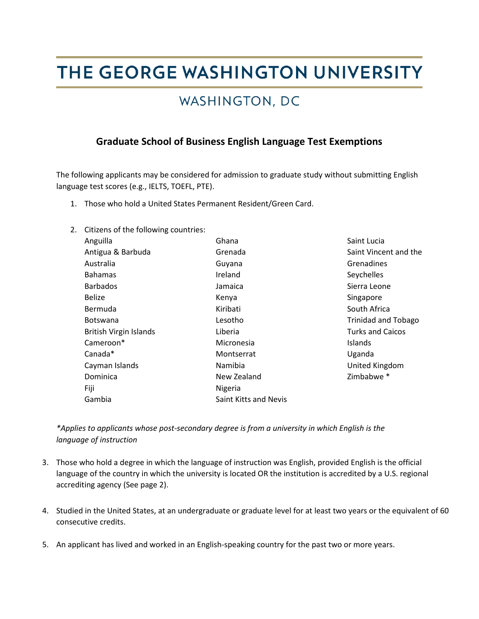# THE GEORGE WASHINGTON UNIVERSITY

### WASHINGTON, DC

#### **Graduate School of Business English Language Test Exemptions**

The following applicants may be considered for admission to graduate study without submitting English language test scores (e.g., IELTS, TOEFL, PTE).

- 1. Those who hold a United States Permanent Resident/Green Card.
- 2. Citizens of the following countries:

| Anguilla                      | Ghana                 | Saint Lucia                |
|-------------------------------|-----------------------|----------------------------|
| Antigua & Barbuda             | Grenada               | Saint Vincent and the      |
| Australia                     | Guyana                | Grenadines                 |
| <b>Bahamas</b>                | Ireland               | Seychelles                 |
| <b>Barbados</b>               | Jamaica               | Sierra Leone               |
| <b>Belize</b>                 | Kenya                 | Singapore                  |
| Bermuda                       | Kiribati              | South Africa               |
| <b>Botswana</b>               | Lesotho               | <b>Trinidad and Tobago</b> |
| <b>British Virgin Islands</b> | Liberia               | <b>Turks and Caicos</b>    |
| Cameroon*                     | Micronesia            | <b>Islands</b>             |
| Canada*                       | Montserrat            | Uganda                     |
| Cayman Islands                | <b>Namibia</b>        | United Kingdom             |
| Dominica                      | New Zealand           | Zimbabwe <sup>*</sup>      |
| Fiji                          | Nigeria               |                            |
| Gambia                        | Saint Kitts and Nevis |                            |

*\*Applies to applicants whose post-secondary degree is from a university in which English is the language of instruction*

- 3. Those who hold a degree in which the language of instruction was English, provided English is the official language of the country in which the university is located OR the institution is accredited by a U.S. regional accrediting agency (See page 2).
- 4. Studied in the United States, at an undergraduate or graduate level for at least two years or the equivalent of 60 consecutive credits.
- 5. An applicant has lived and worked in an English-speaking country for the past two or more years.